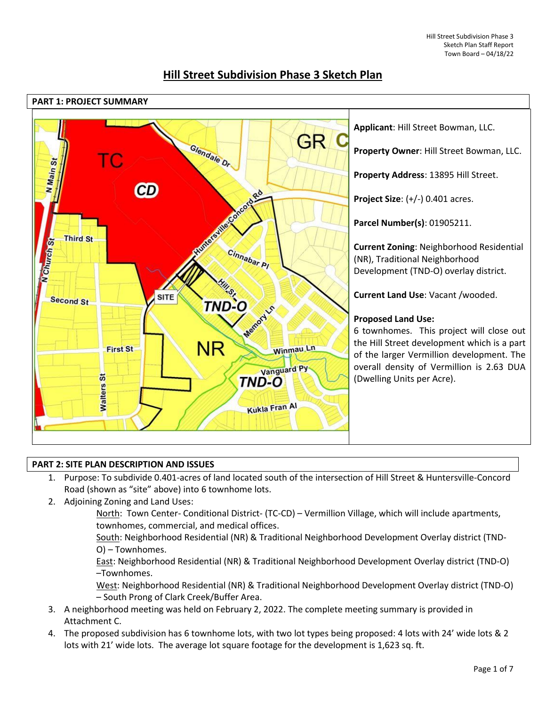

# **Hill Street Subdivision Phase 3 Sketch Plan**

# **PART 2: SITE PLAN DESCRIPTION AND ISSUES**

- 1. Purpose: To subdivide 0.401-acres of land located south of the intersection of Hill Street & Huntersville-Concord Road (shown as "site" above) into 6 townhome lots.
- 2. Adjoining Zoning and Land Uses:
	- North: Town Center- Conditional District- (TC-CD) Vermillion Village, which will include apartments, townhomes, commercial, and medical offices.

South: Neighborhood Residential (NR) & Traditional Neighborhood Development Overlay district (TND-O) – Townhomes.

East: Neighborhood Residential (NR) & Traditional Neighborhood Development Overlay district (TND-O) –Townhomes.

West: Neighborhood Residential (NR) & Traditional Neighborhood Development Overlay district (TND-O) – South Prong of Clark Creek/Buffer Area.

- 3. A neighborhood meeting was held on February 2, 2022. The complete meeting summary is provided in Attachment C.
- 4. The proposed subdivision has 6 townhome lots, with two lot types being proposed: 4 lots with 24' wide lots & 2 lots with 21' wide lots. The average lot square footage for the development is 1,623 sq. ft.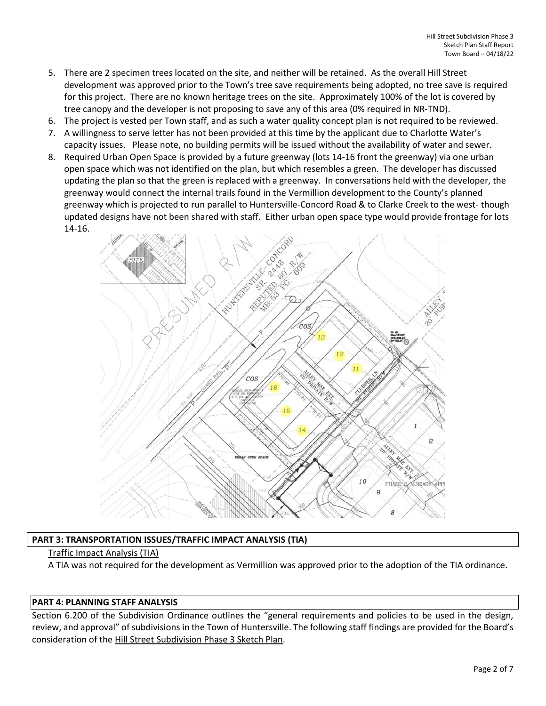- 5. There are 2 specimen trees located on the site, and neither will be retained. As the overall Hill Street development was approved prior to the Town's tree save requirements being adopted, no tree save is required for this project. There are no known heritage trees on the site. Approximately 100% of the lot is covered by tree canopy and the developer is not proposing to save any of this area (0% required in NR-TND).
- 6. The project is vested per Town staff, and as such a water quality concept plan is not required to be reviewed.
- 7. A willingness to serve letter has not been provided at this time by the applicant due to Charlotte Water's capacity issues. Please note, no building permits will be issued without the availability of water and sewer.
- 8. Required Urban Open Space is provided by a future greenway (lots 14-16 front the greenway) via one urban open space which was not identified on the plan, but which resembles a green. The developer has discussed updating the plan so that the green is replaced with a greenway. In conversations held with the developer, the greenway would connect the internal trails found in the Vermillion development to the County's planned greenway which is projected to run parallel to Huntersville-Concord Road & to Clarke Creek to the west- though updated designs have not been shared with staff. Either urban open space type would provide frontage for lots 14-16.



# **PART 3: TRANSPORTATION ISSUES/TRAFFIC IMPACT ANALYSIS (TIA)**

# Traffic Impact Analysis (TIA)

A TIA was not required for the development as Vermillion was approved prior to the adoption of the TIA ordinance.

# **PART 4: PLANNING STAFF ANALYSIS**

Section 6.200 of the Subdivision Ordinance outlines the "general requirements and policies to be used in the design, review, and approval" of subdivisions in the Town of Huntersville. The following staff findings are provided for the Board's consideration of the Hill Street Subdivision Phase 3 Sketch Plan.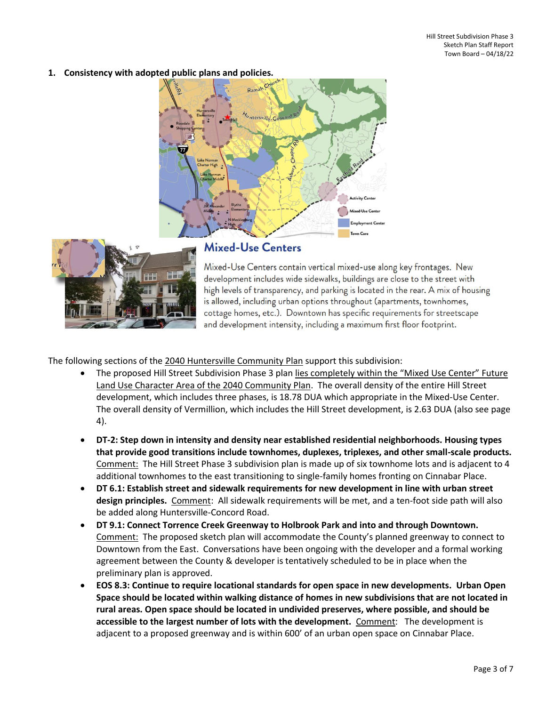**1. Consistency with adopted public plans and policies.**





# **Mixed-Use Centers**

Mixed-Use Centers contain vertical mixed-use along key frontages. New development includes wide sidewalks, buildings are close to the street with high levels of transparency, and parking is located in the rear. A mix of housing is allowed, including urban options throughout (apartments, townhomes, cottage homes, etc.). Downtown has specific requirements for streetscape and development intensity, including a maximum first floor footprint.

The following sections of the 2040 Huntersville Community Plan support this subdivision:

- The proposed Hill Street Subdivision Phase 3 plan lies completely within the "Mixed Use Center" Future Land Use Character Area of the 2040 Community Plan. The overall density of the entire Hill Street development, which includes three phases, is 18.78 DUA which appropriate in the Mixed-Use Center. The overall density of Vermillion, which includes the Hill Street development, is 2.63 DUA (also see page 4).
- **DT-2: Step down in intensity and density near established residential neighborhoods. Housing types that provide good transitions include townhomes, duplexes, triplexes, and other small-scale products.** Comment: The Hill Street Phase 3 subdivision plan is made up of six townhome lots and is adjacent to 4 additional townhomes to the east transitioning to single-family homes fronting on Cinnabar Place.
- **DT 6.1: Establish street and sidewalk requirements for new development in line with urban street design principles.** Comment: All sidewalk requirements will be met, and a ten-foot side path will also be added along Huntersville-Concord Road.
- **DT 9.1: Connect Torrence Creek Greenway to Holbrook Park and into and through Downtown.** Comment: The proposed sketch plan will accommodate the County's planned greenway to connect to Downtown from the East. Conversations have been ongoing with the developer and a formal working agreement between the County & developer is tentatively scheduled to be in place when the preliminary plan is approved.
- **EOS 8.3: Continue to require locational standards for open space in new developments. Urban Open Space should be located within walking distance of homes in new subdivisions that are not located in rural areas. Open space should be located in undivided preserves, where possible, and should be accessible to the largest number of lots with the development.** Comment: The development is adjacent to a proposed greenway and is within 600' of an urban open space on Cinnabar Place.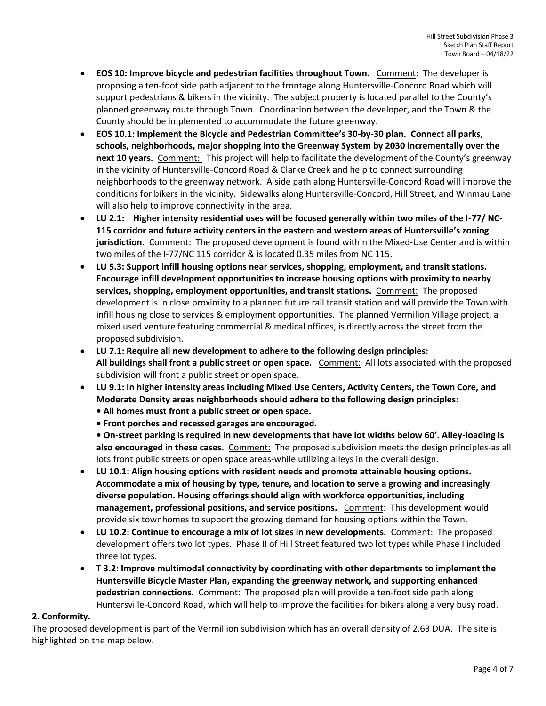- **EOS 10: Improve bicycle and pedestrian facilities throughout Town.** Comment:The developer is proposing a ten-foot side path adjacent to the frontage along Huntersville-Concord Road which will support pedestrians & bikers in the vicinity. The subject property is located parallel to the County's planned greenway route through Town. Coordination between the developer, and the Town & the County should be implemented to accommodate the future greenway.
- **EOS 10.1: Implement the Bicycle and Pedestrian Committee's 30-by-30 plan. Connect all parks, schools, neighborhoods, major shopping into the Greenway System by 2030 incrementally over the next 10 years.** Comment: This project will help to facilitate the development of the County's greenway in the vicinity of Huntersville-Concord Road & Clarke Creek and help to connect surrounding neighborhoods to the greenway network. A side path along Huntersville-Concord Road will improve the conditions for bikers in the vicinity. Sidewalks along Huntersville-Concord, Hill Street, and Winmau Lane will also help to improve connectivity in the area.
- **LU 2.1: Higher intensity residential uses will be focused generally within two miles of the I-77/ NC-115 corridor and future activity centers in the eastern and western areas of Huntersville's zoning jurisdiction.** Comment:The proposed development is found within the Mixed-Use Center and is within two miles of the I-77/NC 115 corridor & is located 0.35 miles from NC 115.
- **LU 5.3: Support infill housing options near services, shopping, employment, and transit stations. Encourage infill development opportunities to increase housing options with proximity to nearby services, shopping, employment opportunities, and transit stations.** Comment: The proposed development is in close proximity to a planned future rail transit station and will provide the Town with infill housing close to services & employment opportunities. The planned Vermilion Village project, a mixed used venture featuring commercial & medical offices, is directly across the street from the proposed subdivision.
- **LU 7.1: Require all new development to adhere to the following design principles: All buildings shall front a public street or open space.** Comment: All lots associated with the proposed subdivision will front a public street or open space.
- **LU 9.1: In higher intensity areas including Mixed Use Centers, Activity Centers, the Town Core, and Moderate Density areas neighborhoods should adhere to the following design principles:** 
	- **All homes must front a public street or open space.**
	- **Front porches and recessed garages are encouraged.**

**• On-street parking is required in new developments that have lot widths below 60'. Alley-loading is**  also encouraged in these cases. Comment: The proposed subdivision meets the design principles-as all lots front public streets or open space areas-while utilizing alleys in the overall design.

- **LU 10.1: Align housing options with resident needs and promote attainable housing options. Accommodate a mix of housing by type, tenure, and location to serve a growing and increasingly diverse population. Housing offerings should align with workforce opportunities, including management, professional positions, and service positions.** Comment: This development would provide six townhomes to support the growing demand for housing options within the Town.
- **LU 10.2: Continue to encourage a mix of lot sizes in new developments.** Comment: The proposed development offers two lot types. Phase II of Hill Street featured two lot types while Phase I included three lot types.
- **T 3.2: Improve multimodal connectivity by coordinating with other departments to implement the Huntersville Bicycle Master Plan, expanding the greenway network, and supporting enhanced pedestrian connections.** Comment: The proposed plan will provide a ten-foot side path along Huntersville-Concord Road, which will help to improve the facilities for bikers along a very busy road.

# **2. Conformity.**

The proposed development is part of the Vermillion subdivision which has an overall density of 2.63 DUA. The site is highlighted on the map below.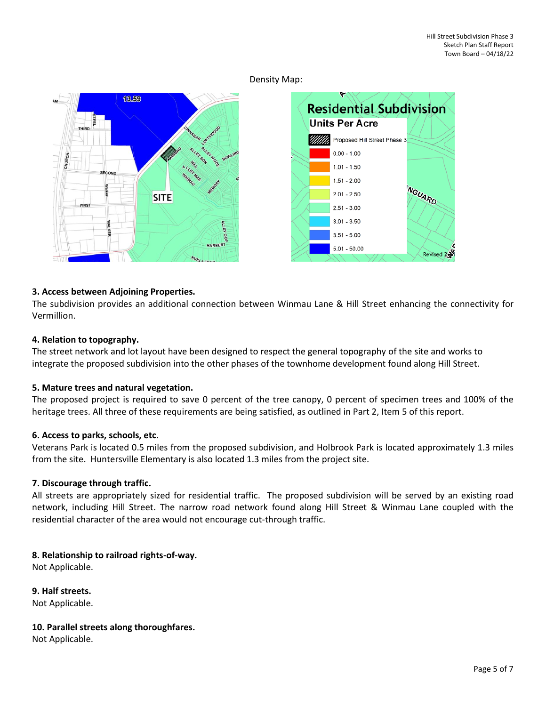Density Map:





# **3. Access between Adjoining Properties.**

The subdivision provides an additional connection between Winmau Lane & Hill Street enhancing the connectivity for Vermillion.

#### **4. Relation to topography.**

The street network and lot layout have been designed to respect the general topography of the site and works to integrate the proposed subdivision into the other phases of the townhome development found along Hill Street.

# **5. Mature trees and natural vegetation.**

The proposed project is required to save 0 percent of the tree canopy, 0 percent of specimen trees and 100% of the heritage trees. All three of these requirements are being satisfied, as outlined in Part 2, Item 5 of this report.

#### **6. Access to parks, schools, etc**.

Veterans Park is located 0.5 miles from the proposed subdivision, and Holbrook Park is located approximately 1.3 miles from the site. Huntersville Elementary is also located 1.3 miles from the project site.

# **7. Discourage through traffic.**

All streets are appropriately sized for residential traffic. The proposed subdivision will be served by an existing road network, including Hill Street. The narrow road network found along Hill Street & Winmau Lane coupled with the residential character of the area would not encourage cut-through traffic.

# **8. Relationship to railroad rights-of-way.**

Not Applicable.

**9. Half streets.**

Not Applicable.

# **10. Parallel streets along thoroughfares.**

Not Applicable.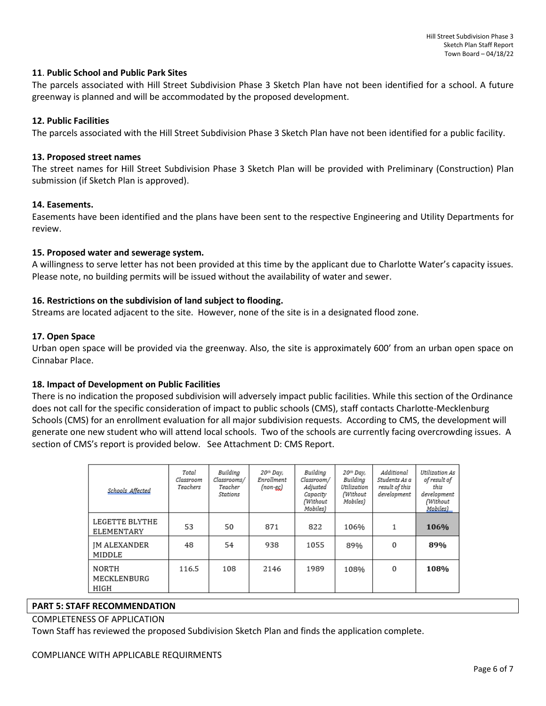#### **11**. **Public School and Public Park Sites**

The parcels associated with Hill Street Subdivision Phase 3 Sketch Plan have not been identified for a school. A future greenway is planned and will be accommodated by the proposed development.

#### **12. Public Facilities**

The parcels associated with the Hill Street Subdivision Phase 3 Sketch Plan have not been identified for a public facility.

#### **13. Proposed street names**

The street names for Hill Street Subdivision Phase 3 Sketch Plan will be provided with Preliminary (Construction) Plan submission (if Sketch Plan is approved).

#### **14. Easements.**

Easements have been identified and the plans have been sent to the respective Engineering and Utility Departments for review.

#### **15. Proposed water and sewerage system.**

A willingness to serve letter has not been provided at this time by the applicant due to Charlotte Water's capacity issues. Please note, no building permits will be issued without the availability of water and sewer.

# **16. Restrictions on the subdivision of land subject to flooding.**

Streams are located adjacent to the site. However, none of the site is in a designated flood zone.

#### **17. Open Space**

Urban open space will be provided via the greenway. Also, the site is approximately 600' from an urban open space on Cinnabar Place.

# **18. Impact of Development on Public Facilities**

There is no indication the proposed subdivision will adversely impact public facilities. While this section of the Ordinance does not call for the specific consideration of impact to public schools (CMS), staff contacts Charlotte-Mecklenburg Schools (CMS) for an enrollment evaluation for all major subdivision requests. According to CMS, the development will generate one new student who will attend local schools. Two of the schools are currently facing overcrowding issues. A section of CMS's report is provided below. See Attachment D: CMS Report.

| Schools Affected              | Total<br>Classroom<br>Teachers | Building<br>Classrooms/<br>Teacher<br>Stations | 20th Day,<br>Enrollment<br>$non-ec$ | Building<br>Classroom/<br>Adjusted<br>Capacity<br>(Without<br>Mobiles) | 20th Day,<br>Building<br>Utilization<br>(Without<br>Mobiles) | Additional<br>Students As a<br>result of this<br>development | Utilization As<br>of result of<br>this<br>development<br>(Without<br>Mobiles) |
|-------------------------------|--------------------------------|------------------------------------------------|-------------------------------------|------------------------------------------------------------------------|--------------------------------------------------------------|--------------------------------------------------------------|-------------------------------------------------------------------------------|
| LEGETTE BLYTHE<br>ELEMENTARY  | 53                             | 50                                             | 871                                 | 822                                                                    | 106%                                                         | 1                                                            | 106%                                                                          |
| <b>IM ALEXANDER</b><br>MIDDLE | 48                             | 54                                             | 938                                 | 1055                                                                   | 89%                                                          | 0                                                            | 89%                                                                           |
| NORTH<br>MECKLENBURG<br>HIGH  | 116.5                          | 108                                            | 2146                                | 1989                                                                   | 108%                                                         | $\Omega$                                                     | 108%                                                                          |

#### **PART 5: STAFF RECOMMENDATION**

#### COMPLETENESS OF APPLICATION

Town Staff has reviewed the proposed Subdivision Sketch Plan and finds the application complete.